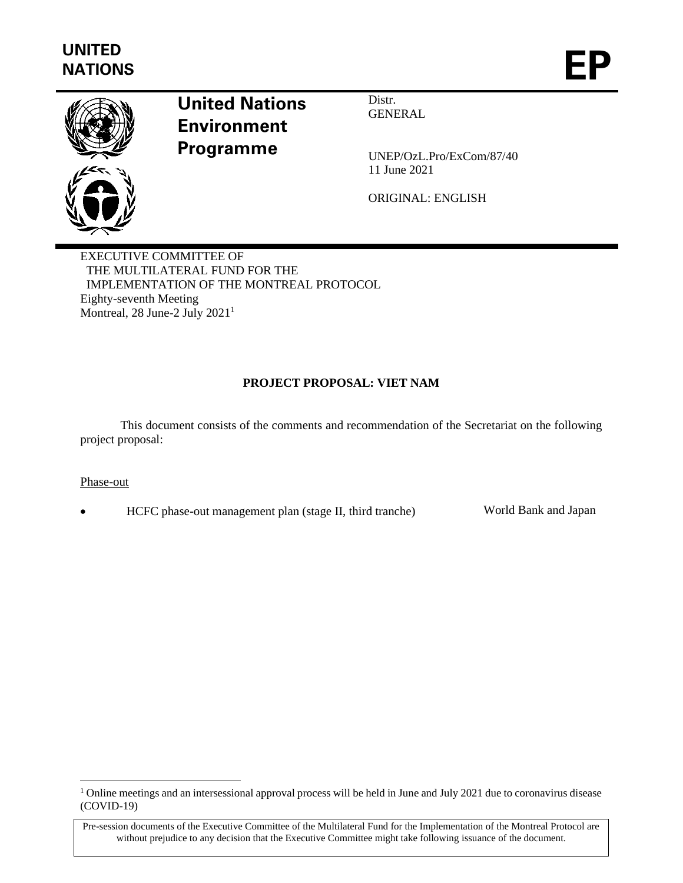

# **United Nations Environment Programme**

Distr. GENERAL

UNEP/OzL.Pro/ExCom/87/40 11 June 2021

ORIGINAL: ENGLISH

EXECUTIVE COMMITTEE OF THE MULTILATERAL FUND FOR THE IMPLEMENTATION OF THE MONTREAL PROTOCOL Eighty-seventh Meeting Montreal, 28 June-2 July 2021<sup>1</sup>

## **PROJECT PROPOSAL: VIET NAM**

This document consists of the comments and recommendation of the Secretariat on the following project proposal:

#### Phase-out

• HCFC phase-out management plan (stage II, third tranche) World Bank and Japan

<sup>&</sup>lt;sup>1</sup> Online meetings and an intersessional approval process will be held in June and July 2021 due to coronavirus disease (COVID-19)

Pre-session documents of the Executive Committee of the Multilateral Fund for the Implementation of the Montreal Protocol are without prejudice to any decision that the Executive Committee might take following issuance of the document.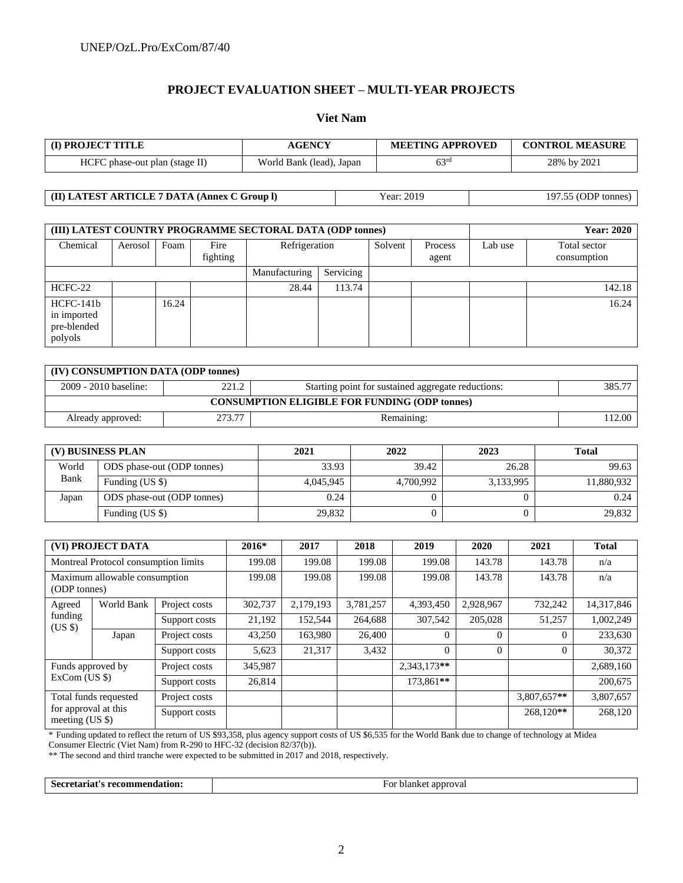## **PROJECT EVALUATION SHEET – MULTI-YEAR PROJECTS**

#### **Viet Nam**

| <b>(I) PROJECT TITLE</b>       | AGENCY                   | <b>MEETING APPROVED</b> | <b>CONTROL MEASURE</b> |  |
|--------------------------------|--------------------------|-------------------------|------------------------|--|
| HCFC phase-out plan (stage II) | World Bank (lead), Japan | 63 <sup>rd</sup>        | 28% by 2021            |  |

**(II) LATEST ARTICLE 7 DATA (Annex C Group l)** Year: 2019 197.55 (ODP tonnes)

| (III) LATEST COUNTRY PROGRAMME SECTORAL DATA (ODP tonnes) |         |       |                  |               |           |         |                  | <b>Year: 2020</b> |                             |  |
|-----------------------------------------------------------|---------|-------|------------------|---------------|-----------|---------|------------------|-------------------|-----------------------------|--|
| Chemical                                                  | Aerosol | Foam  | Fire<br>fighting | Refrigeration |           | Solvent | Process<br>agent | Lab use           | Total sector<br>consumption |  |
|                                                           |         |       |                  | Manufacturing | Servicing |         |                  |                   |                             |  |
| HCFC-22                                                   |         |       |                  | 28.44         | 113.74    |         |                  |                   | 142.18                      |  |
| HCFC-141b<br>in imported<br>pre-blended<br>polyols        |         | 16.24 |                  |               |           |         |                  |                   | 16.24                       |  |

| (IV) CONSUMPTION DATA (ODP tonnes)                   |        |                                                    |        |  |  |  |  |
|------------------------------------------------------|--------|----------------------------------------------------|--------|--|--|--|--|
| 2009 - 2010 baseline:                                | 221.2  | Starting point for sustained aggregate reductions: | 385.77 |  |  |  |  |
| <b>CONSUMPTION ELIGIBLE FOR FUNDING (ODP tonnes)</b> |        |                                                    |        |  |  |  |  |
| Already approved:                                    | 273.77 | Remaining:                                         | 12.00  |  |  |  |  |

| (V) BUSINESS PLAN |                            | 2021      | 2022      | 2023      | <b>Total</b> |
|-------------------|----------------------------|-----------|-----------|-----------|--------------|
| World             | ODS phase-out (ODP tonnes) | 33.93     | 39.42     | 26.28     | 99.63        |
| Bank              | Funding $(US \$            | 4.045.945 | 4,700,992 | 3,133,995 | 11.880.932   |
| Japan             | ODS phase-out (ODP tonnes) | 0.24      |           |           | 0.24         |
|                   | Funding (US \$)            | 29,832    |           |           | 29,832       |

| (VI) PROJECT DATA                                                |  | $2016*$       | 2017    | 2018      | 2019      | 2020        | 2021      | <b>Total</b> |            |
|------------------------------------------------------------------|--|---------------|---------|-----------|-----------|-------------|-----------|--------------|------------|
| Montreal Protocol consumption limits                             |  |               | 199.08  | 199.08    | 199.08    | 199.08      | 143.78    | 143.78       | n/a        |
| Maximum allowable consumption<br>(ODP tonnes)                    |  | 199.08        | 199.08  | 199.08    | 199.08    | 143.78      | 143.78    | n/a          |            |
| World Bank<br>Agreed<br>funding<br>(US S)<br>Japan               |  | Project costs | 302,737 | 2,179,193 | 3,781,257 | 4,393,450   | 2,928,967 | 732,242      | 14,317,846 |
|                                                                  |  | Support costs | 21,192  | 152,544   | 264,688   | 307,542     | 205,028   | 51,257       | 1,002,249  |
|                                                                  |  | Project costs | 43,250  | 163,980   | 26,400    | $\Omega$    | $\Omega$  |              | 233,630    |
|                                                                  |  | Support costs | 5,623   | 21,317    | 3,432     | $\theta$    | $\Omega$  | $\Omega$     | 30,372     |
| Funds approved by<br>$ExCom$ (US \$)                             |  | Project costs | 345,987 |           |           | 2.343.173** |           |              | 2,689,160  |
|                                                                  |  | Support costs | 26,814  |           |           | 173.861**   |           |              | 200,675    |
| Total funds requested<br>for approval at this<br>meeting $(US \$ |  | Project costs |         |           |           |             |           | 3,807,657**  | 3,807,657  |
|                                                                  |  | Support costs |         |           |           |             |           | 268.120**    | 268,120    |

\* Funding updated to reflect the return of US \$93,358, plus agency support costs of US \$6,535 for the World Bank due to change of technology at Midea Consumer Electric (Viet Nam) from R-290 to HFC-32 (decision 82/37(b)).

\*\* The second and third tranche were expected to be submitted in 2017 and 2018, respectively.

Secretariat's recommendation: For blanket approval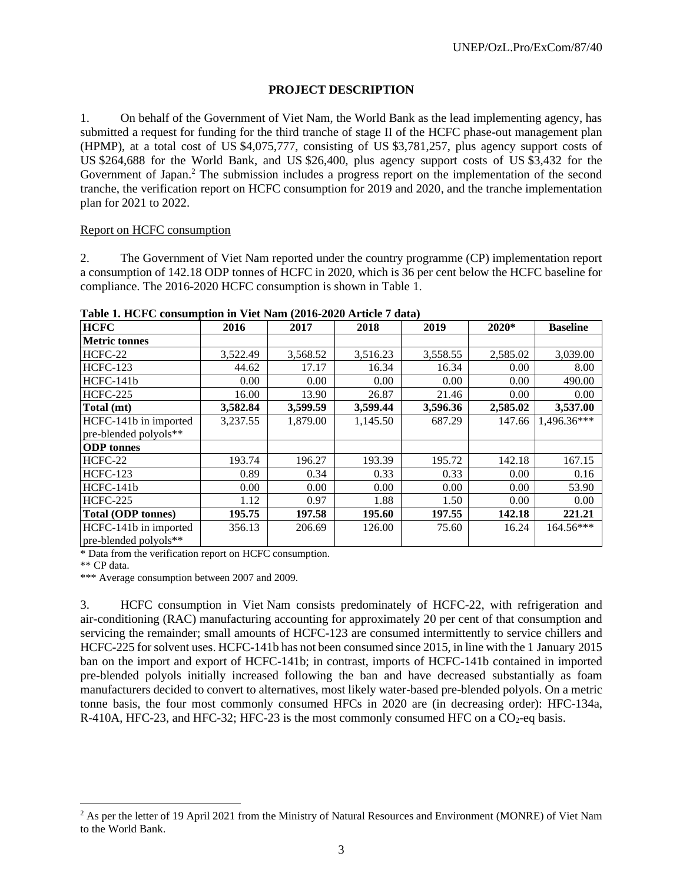#### **PROJECT DESCRIPTION**

1. On behalf of the Government of Viet Nam, the World Bank as the lead implementing agency, has submitted a request for funding for the third tranche of stage II of the HCFC phase-out management plan (HPMP), at a total cost of US \$4,075,777, consisting of US \$3,781,257, plus agency support costs of US \$264,688 for the World Bank, and US \$26,400, plus agency support costs of US \$3,432 for the Government of Japan.<sup>2</sup> The submission includes a progress report on the implementation of the second tranche, the verification report on HCFC consumption for 2019 and 2020, and the tranche implementation plan for 2021 to 2022.

#### Report on HCFC consumption

2. The Government of Viet Nam reported under the country programme (CP) implementation report a consumption of 142.18 ODP tonnes of HCFC in 2020, which is 36 per cent below the HCFC baseline for compliance. The 2016-2020 HCFC consumption is shown in Table 1.

| <b>HCFC</b>               | 2016     | 2017     | 2018     | 2019     | 2020*    | <b>Baseline</b> |
|---------------------------|----------|----------|----------|----------|----------|-----------------|
| <b>Metric tonnes</b>      |          |          |          |          |          |                 |
| HCFC-22                   | 3,522.49 | 3,568.52 | 3,516.23 | 3,558.55 | 2,585.02 | 3,039.00        |
| <b>HCFC-123</b>           | 44.62    | 17.17    | 16.34    | 16.34    | 0.00     | 8.00            |
| HCFC-141b                 | 0.00     | 0.00     | 0.00     | 0.00     | 0.00     | 490.00          |
| <b>HCFC-225</b>           | 16.00    | 13.90    | 26.87    | 21.46    | 0.00     | 0.00            |
| Total (mt)                | 3,582.84 | 3,599.59 | 3,599.44 | 3,596.36 | 2,585.02 | 3,537.00        |
| HCFC-141b in imported     | 3,237.55 | 1,879.00 | 1,145.50 | 687.29   | 147.66   | 1,496.36***     |
| pre-blended polyols**     |          |          |          |          |          |                 |
| <b>ODP</b> tonnes         |          |          |          |          |          |                 |
| HCFC-22                   | 193.74   | 196.27   | 193.39   | 195.72   | 142.18   | 167.15          |
| <b>HCFC-123</b>           | 0.89     | 0.34     | 0.33     | 0.33     | 0.00     | 0.16            |
| HCFC-141b                 | 0.00     | 0.00     | 0.00     | 0.00     | 0.00     | 53.90           |
| <b>HCFC-225</b>           | 1.12     | 0.97     | 1.88     | 1.50     | 0.00     | 0.00            |
| <b>Total (ODP tonnes)</b> | 195.75   | 197.58   | 195.60   | 197.55   | 142.18   | 221.21          |
| HCFC-141b in imported     | 356.13   | 206.69   | 126.00   | 75.60    | 16.24    | 164.56***       |
| pre-blended polyols**     |          |          |          |          |          |                 |

**Table 1. HCFC consumption in Viet Nam (2016-2020 Article 7 data)**

\* Data from the verification report on HCFC consumption.

\*\* CP data.

\*\*\* Average consumption between 2007 and 2009.

3. HCFC consumption in Viet Nam consists predominately of HCFC-22, with refrigeration and air-conditioning (RAC) manufacturing accounting for approximately 20 per cent of that consumption and servicing the remainder; small amounts of HCFC-123 are consumed intermittently to service chillers and HCFC-225 for solvent uses. HCFC-141b has not been consumed since 2015, in line with the 1 January 2015 ban on the import and export of HCFC-141b; in contrast, imports of HCFC-141b contained in imported pre-blended polyols initially increased following the ban and have decreased substantially as foam manufacturers decided to convert to alternatives, most likely water-based pre-blended polyols. On a metric tonne basis, the four most commonly consumed HFCs in 2020 are (in decreasing order): HFC-134a, R-410A, HFC-23, and HFC-32; HFC-23 is the most commonly consumed HFC on a  $CO_2$ -eq basis.

<sup>&</sup>lt;sup>2</sup> As per the letter of 19 April 2021 from the Ministry of Natural Resources and Environment (MONRE) of Viet Nam to the World Bank.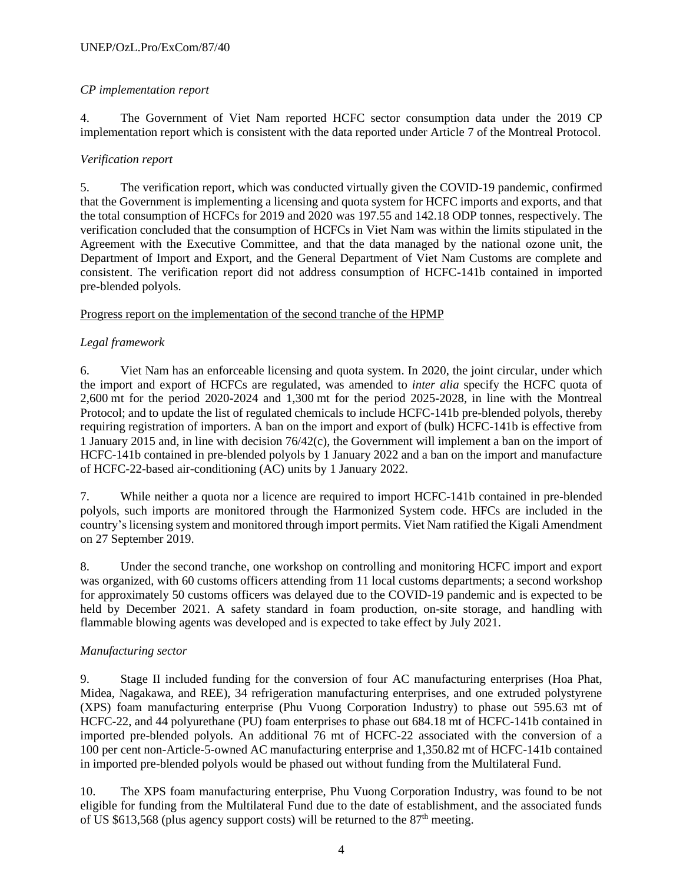## *CP implementation report*

4. The Government of Viet Nam reported HCFC sector consumption data under the 2019 CP implementation report which is consistent with the data reported under Article 7 of the Montreal Protocol.

## *Verification report*

5. The verification report, which was conducted virtually given the COVID-19 pandemic, confirmed that the Government is implementing a licensing and quota system for HCFC imports and exports, and that the total consumption of HCFCs for 2019 and 2020 was 197.55 and 142.18 ODP tonnes, respectively. The verification concluded that the consumption of HCFCs in Viet Nam was within the limits stipulated in the Agreement with the Executive Committee, and that the data managed by the national ozone unit, the Department of Import and Export, and the General Department of Viet Nam Customs are complete and consistent. The verification report did not address consumption of HCFC-141b contained in imported pre-blended polyols.

## Progress report on the implementation of the second tranche of the HPMP

## *Legal framework*

6. Viet Nam has an enforceable licensing and quota system. In 2020, the joint circular, under which the import and export of HCFCs are regulated, was amended to *inter alia* specify the HCFC quota of 2,600 mt for the period 2020-2024 and 1,300 mt for the period 2025-2028, in line with the Montreal Protocol; and to update the list of regulated chemicals to include HCFC-141b pre-blended polyols, thereby requiring registration of importers. A ban on the import and export of (bulk) HCFC-141b is effective from 1 January 2015 and, in line with decision 76/42(c), the Government will implement a ban on the import of HCFC-141b contained in pre-blended polyols by 1 January 2022 and a ban on the import and manufacture of HCFC-22-based air-conditioning (AC) units by 1 January 2022.

7. While neither a quota nor a licence are required to import HCFC-141b contained in pre-blended polyols, such imports are monitored through the Harmonized System code. HFCs are included in the country's licensing system and monitored through import permits. Viet Nam ratified the Kigali Amendment on 27 September 2019.

8. Under the second tranche, one workshop on controlling and monitoring HCFC import and export was organized, with 60 customs officers attending from 11 local customs departments; a second workshop for approximately 50 customs officers was delayed due to the COVID-19 pandemic and is expected to be held by December 2021. A safety standard in foam production, on-site storage, and handling with flammable blowing agents was developed and is expected to take effect by July 2021.

## *Manufacturing sector*

9. Stage II included funding for the conversion of four AC manufacturing enterprises (Hoa Phat, Midea, Nagakawa, and REE), 34 refrigeration manufacturing enterprises, and one extruded polystyrene (XPS) foam manufacturing enterprise (Phu Vuong Corporation Industry) to phase out 595.63 mt of HCFC-22, and 44 polyurethane (PU) foam enterprises to phase out 684.18 mt of HCFC-141b contained in imported pre-blended polyols. An additional 76 mt of HCFC-22 associated with the conversion of a 100 per cent non-Article-5-owned AC manufacturing enterprise and 1,350.82 mt of HCFC-141b contained in imported pre-blended polyols would be phased out without funding from the Multilateral Fund.

10. The XPS foam manufacturing enterprise, Phu Vuong Corporation Industry, was found to be not eligible for funding from the Multilateral Fund due to the date of establishment, and the associated funds of US  $$613,568$  (plus agency support costs) will be returned to the  $87<sup>th</sup>$  meeting.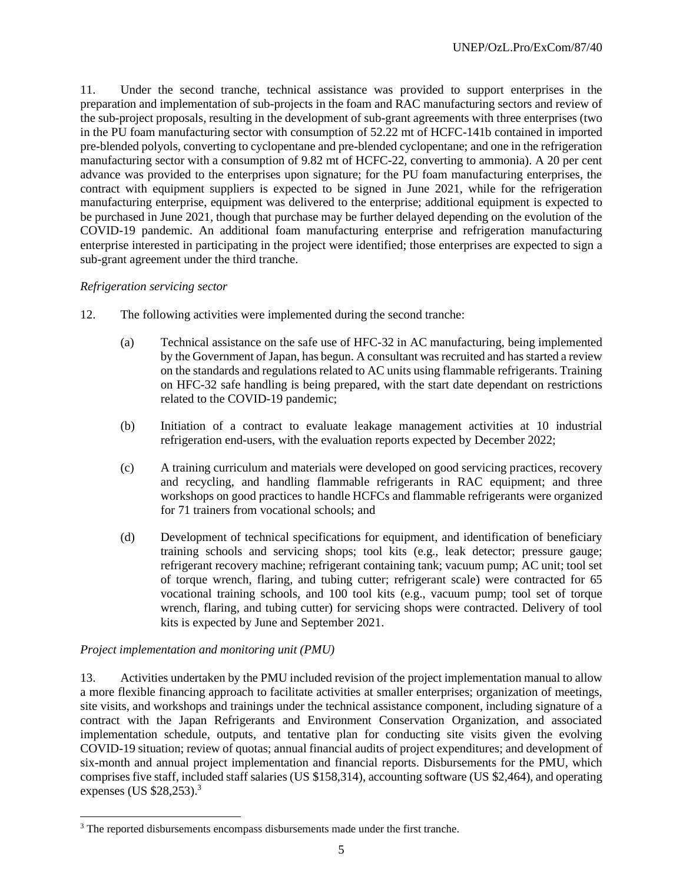11. Under the second tranche, technical assistance was provided to support enterprises in the preparation and implementation of sub-projects in the foam and RAC manufacturing sectors and review of the sub-project proposals, resulting in the development of sub-grant agreements with three enterprises (two in the PU foam manufacturing sector with consumption of 52.22 mt of HCFC-141b contained in imported pre-blended polyols, converting to cyclopentane and pre-blended cyclopentane; and one in the refrigeration manufacturing sector with a consumption of 9.82 mt of HCFC-22, converting to ammonia). A 20 per cent advance was provided to the enterprises upon signature; for the PU foam manufacturing enterprises, the contract with equipment suppliers is expected to be signed in June 2021, while for the refrigeration manufacturing enterprise, equipment was delivered to the enterprise; additional equipment is expected to be purchased in June 2021, though that purchase may be further delayed depending on the evolution of the COVID-19 pandemic. An additional foam manufacturing enterprise and refrigeration manufacturing enterprise interested in participating in the project were identified; those enterprises are expected to sign a sub-grant agreement under the third tranche.

#### *Refrigeration servicing sector*

- 12. The following activities were implemented during the second tranche:
	- (a) Technical assistance on the safe use of HFC-32 in AC manufacturing, being implemented by the Government of Japan, has begun. A consultant was recruited and has started a review on the standards and regulations related to AC units using flammable refrigerants. Training on HFC-32 safe handling is being prepared, with the start date dependant on restrictions related to the COVID-19 pandemic;
	- (b) Initiation of a contract to evaluate leakage management activities at 10 industrial refrigeration end-users, with the evaluation reports expected by December 2022;
	- (c) A training curriculum and materials were developed on good servicing practices, recovery and recycling, and handling flammable refrigerants in RAC equipment; and three workshops on good practices to handle HCFCs and flammable refrigerants were organized for 71 trainers from vocational schools; and
	- (d) Development of technical specifications for equipment, and identification of beneficiary training schools and servicing shops; tool kits (e.g., leak detector; pressure gauge; refrigerant recovery machine; refrigerant containing tank; vacuum pump; AC unit; tool set of torque wrench, flaring, and tubing cutter; refrigerant scale) were contracted for 65 vocational training schools, and 100 tool kits (e.g., vacuum pump; tool set of torque wrench, flaring, and tubing cutter) for servicing shops were contracted. Delivery of tool kits is expected by June and September 2021.

#### *Project implementation and monitoring unit (PMU)*

13. Activities undertaken by the PMU included revision of the project implementation manual to allow a more flexible financing approach to facilitate activities at smaller enterprises; organization of meetings, site visits, and workshops and trainings under the technical assistance component, including signature of a contract with the Japan Refrigerants and Environment Conservation Organization, and associated implementation schedule, outputs, and tentative plan for conducting site visits given the evolving COVID-19 situation; review of quotas; annual financial audits of project expenditures; and development of six-month and annual project implementation and financial reports. Disbursements for the PMU, which comprises five staff, included staff salaries (US \$158,314), accounting software (US \$2,464), and operating expenses (US \$28,253).<sup>3</sup>

<sup>&</sup>lt;sup>3</sup> The reported disbursements encompass disbursements made under the first tranche.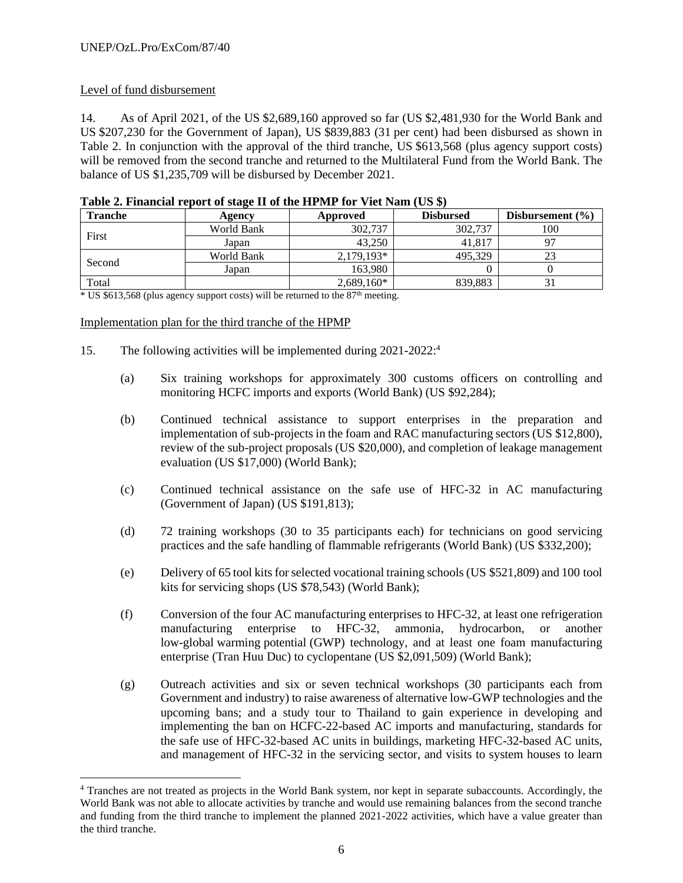## Level of fund disbursement

14. As of April 2021, of the US \$2,689,160 approved so far (US \$2,481,930 for the World Bank and US \$207,230 for the Government of Japan), US \$839,883 (31 per cent) had been disbursed as shown in Table 2. In conjunction with the approval of the third tranche, US \$613,568 (plus agency support costs) will be removed from the second tranche and returned to the Multilateral Fund from the World Bank. The balance of US \$1,235,709 will be disbursed by December 2021.

| <b>Tranche</b> | Agency     | Approved     | <b>Disbursed</b> | Disbursement $(\% )$ |
|----------------|------------|--------------|------------------|----------------------|
|                | World Bank | 302,737      | 302,737          | 100                  |
| First          | Japan      | 43.250       | 41,817           |                      |
|                | World Bank | $2.179.193*$ | 495.329          | 23                   |
| Second         | Japan      | 163.980      |                  |                      |
| Total          |            | $2,689,160*$ | 839.883          |                      |

| Table 2. Financial report of stage II of the HPMP for Viet Nam (US \$) |
|------------------------------------------------------------------------|
|------------------------------------------------------------------------|

\* US \$613,568 (plus agency support costs) will be returned to the 87th meeting.

#### Implementation plan for the third tranche of the HPMP

- 15. The following activities will be implemented during 2021-2022: 4
	- (a) Six training workshops for approximately 300 customs officers on controlling and monitoring HCFC imports and exports (World Bank) (US \$92,284);
	- (b) Continued technical assistance to support enterprises in the preparation and implementation of sub-projects in the foam and RAC manufacturing sectors (US \$12,800), review of the sub-project proposals (US \$20,000), and completion of leakage management evaluation (US \$17,000) (World Bank);
	- (c) Continued technical assistance on the safe use of HFC-32 in AC manufacturing (Government of Japan) (US \$191,813);
	- (d) 72 training workshops (30 to 35 participants each) for technicians on good servicing practices and the safe handling of flammable refrigerants (World Bank) (US \$332,200);
	- (e) Delivery of 65 tool kits for selected vocational training schools (US \$521,809) and 100 tool kits for servicing shops (US \$78,543) (World Bank);
	- (f) Conversion of the four AC manufacturing enterprises to HFC-32, at least one refrigeration manufacturing enterprise to HFC-32, ammonia, hydrocarbon, or another low-global warming potential (GWP) technology, and at least one foam manufacturing enterprise (Tran Huu Duc) to cyclopentane (US \$2,091,509) (World Bank);
	- (g) Outreach activities and six or seven technical workshops (30 participants each from Government and industry) to raise awareness of alternative low-GWP technologies and the upcoming bans; and a study tour to Thailand to gain experience in developing and implementing the ban on HCFC-22-based AC imports and manufacturing, standards for the safe use of HFC-32-based AC units in buildings, marketing HFC-32-based AC units, and management of HFC-32 in the servicing sector, and visits to system houses to learn

<sup>4</sup> Tranches are not treated as projects in the World Bank system, nor kept in separate subaccounts. Accordingly, the World Bank was not able to allocate activities by tranche and would use remaining balances from the second tranche and funding from the third tranche to implement the planned 2021-2022 activities, which have a value greater than the third tranche.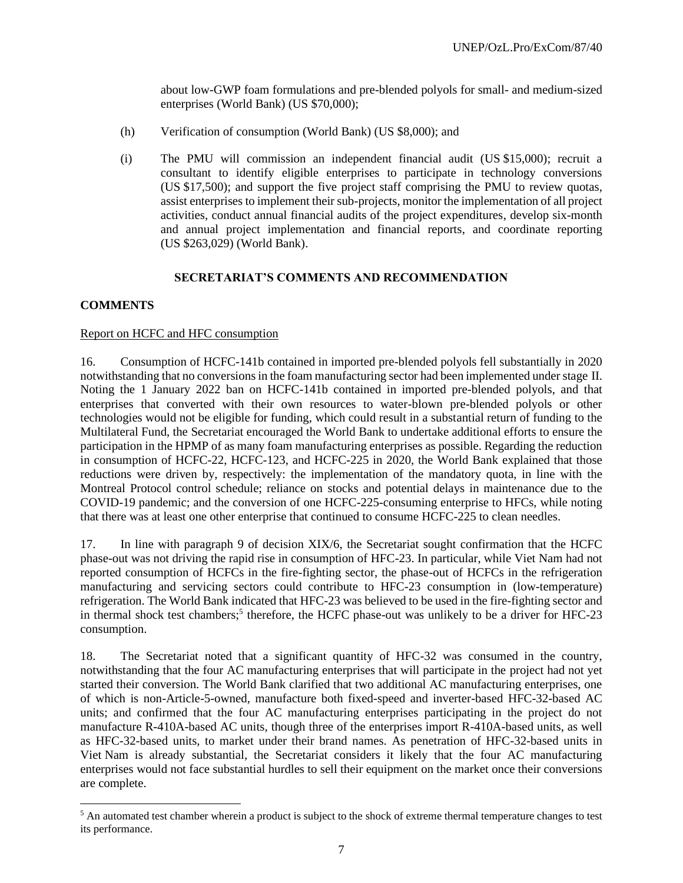about low-GWP foam formulations and pre-blended polyols for small- and medium-sized enterprises (World Bank) (US \$70,000);

- (h) Verification of consumption (World Bank) (US \$8,000); and
- (i) The PMU will commission an independent financial audit (US \$15,000); recruit a consultant to identify eligible enterprises to participate in technology conversions (US \$17,500); and support the five project staff comprising the PMU to review quotas, assist enterprises to implement their sub-projects, monitor the implementation of all project activities, conduct annual financial audits of the project expenditures, develop six-month and annual project implementation and financial reports, and coordinate reporting (US \$263,029) (World Bank).

#### **SECRETARIAT'S COMMENTS AND RECOMMENDATION**

#### **COMMENTS**

## Report on HCFC and HFC consumption

16. Consumption of HCFC-141b contained in imported pre-blended polyols fell substantially in 2020 notwithstanding that no conversions in the foam manufacturing sector had been implemented under stage II. Noting the 1 January 2022 ban on HCFC-141b contained in imported pre-blended polyols, and that enterprises that converted with their own resources to water-blown pre-blended polyols or other technologies would not be eligible for funding, which could result in a substantial return of funding to the Multilateral Fund, the Secretariat encouraged the World Bank to undertake additional efforts to ensure the participation in the HPMP of as many foam manufacturing enterprises as possible. Regarding the reduction in consumption of HCFC-22, HCFC-123, and HCFC-225 in 2020, the World Bank explained that those reductions were driven by, respectively: the implementation of the mandatory quota, in line with the Montreal Protocol control schedule; reliance on stocks and potential delays in maintenance due to the COVID-19 pandemic; and the conversion of one HCFC-225-consuming enterprise to HFCs, while noting that there was at least one other enterprise that continued to consume HCFC-225 to clean needles.

17. In line with paragraph 9 of decision XIX/6, the Secretariat sought confirmation that the HCFC phase-out was not driving the rapid rise in consumption of HFC-23. In particular, while Viet Nam had not reported consumption of HCFCs in the fire-fighting sector, the phase-out of HCFCs in the refrigeration manufacturing and servicing sectors could contribute to HFC-23 consumption in (low-temperature) refrigeration. The World Bank indicated that HFC-23 was believed to be used in the fire-fighting sector and in thermal shock test chambers;<sup>5</sup> therefore, the HCFC phase-out was unlikely to be a driver for HFC-23 consumption.

18. The Secretariat noted that a significant quantity of HFC-32 was consumed in the country, notwithstanding that the four AC manufacturing enterprises that will participate in the project had not yet started their conversion. The World Bank clarified that two additional AC manufacturing enterprises, one of which is non-Article-5-owned, manufacture both fixed-speed and inverter-based HFC-32-based AC units; and confirmed that the four AC manufacturing enterprises participating in the project do not manufacture R-410A-based AC units, though three of the enterprises import R-410A-based units, as well as HFC-32-based units, to market under their brand names. As penetration of HFC-32-based units in Viet Nam is already substantial, the Secretariat considers it likely that the four AC manufacturing enterprises would not face substantial hurdles to sell their equipment on the market once their conversions are complete.

<sup>&</sup>lt;sup>5</sup> An automated test chamber wherein a product is subject to the shock of extreme thermal temperature changes to test its performance.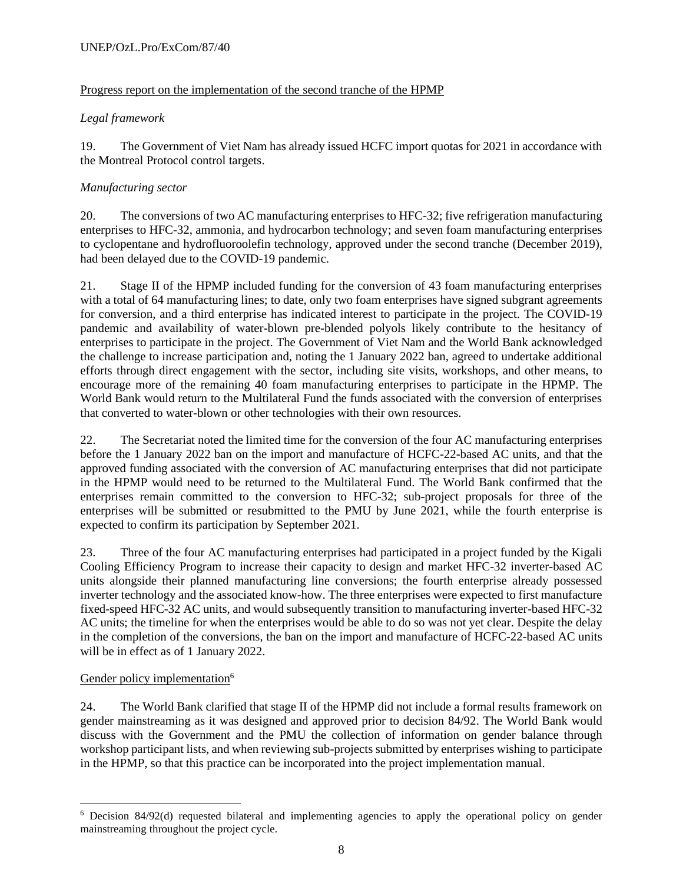#### UNEP/OzL.Pro/ExCom/87/40

## Progress report on the implementation of the second tranche of the HPMP

## *Legal framework*

19. The Government of Viet Nam has already issued HCFC import quotas for 2021 in accordance with the Montreal Protocol control targets.

## *Manufacturing sector*

20. The conversions of two AC manufacturing enterprises to HFC-32; five refrigeration manufacturing enterprises to HFC-32, ammonia, and hydrocarbon technology; and seven foam manufacturing enterprises to cyclopentane and hydrofluoroolefin technology, approved under the second tranche (December 2019), had been delayed due to the COVID-19 pandemic.

21. Stage II of the HPMP included funding for the conversion of 43 foam manufacturing enterprises with a total of 64 manufacturing lines; to date, only two foam enterprises have signed subgrant agreements for conversion, and a third enterprise has indicated interest to participate in the project. The COVID-19 pandemic and availability of water-blown pre-blended polyols likely contribute to the hesitancy of enterprises to participate in the project. The Government of Viet Nam and the World Bank acknowledged the challenge to increase participation and, noting the 1 January 2022 ban, agreed to undertake additional efforts through direct engagement with the sector, including site visits, workshops, and other means, to encourage more of the remaining 40 foam manufacturing enterprises to participate in the HPMP. The World Bank would return to the Multilateral Fund the funds associated with the conversion of enterprises that converted to water-blown or other technologies with their own resources.

22. The Secretariat noted the limited time for the conversion of the four AC manufacturing enterprises before the 1 January 2022 ban on the import and manufacture of HCFC-22-based AC units, and that the approved funding associated with the conversion of AC manufacturing enterprises that did not participate in the HPMP would need to be returned to the Multilateral Fund. The World Bank confirmed that the enterprises remain committed to the conversion to HFC-32; sub-project proposals for three of the enterprises will be submitted or resubmitted to the PMU by June 2021, while the fourth enterprise is expected to confirm its participation by September 2021.

23. Three of the four AC manufacturing enterprises had participated in a project funded by the Kigali Cooling Efficiency Program to increase their capacity to design and market HFC-32 inverter-based AC units alongside their planned manufacturing line conversions; the fourth enterprise already possessed inverter technology and the associated know-how. The three enterprises were expected to first manufacture fixed-speed HFC-32 AC units, and would subsequently transition to manufacturing inverter-based HFC-32 AC units; the timeline for when the enterprises would be able to do so was not yet clear. Despite the delay in the completion of the conversions, the ban on the import and manufacture of HCFC-22-based AC units will be in effect as of 1 January 2022.

#### Gender policy implementation<sup>6</sup>

24. The World Bank clarified that stage II of the HPMP did not include a formal results framework on gender mainstreaming as it was designed and approved prior to decision 84/92. The World Bank would discuss with the Government and the PMU the collection of information on gender balance through workshop participant lists, and when reviewing sub-projects submitted by enterprises wishing to participate in the HPMP, so that this practice can be incorporated into the project implementation manual.

<sup>6</sup> Decision 84/92(d) requested bilateral and implementing agencies to apply the operational policy on gender mainstreaming throughout the project cycle.